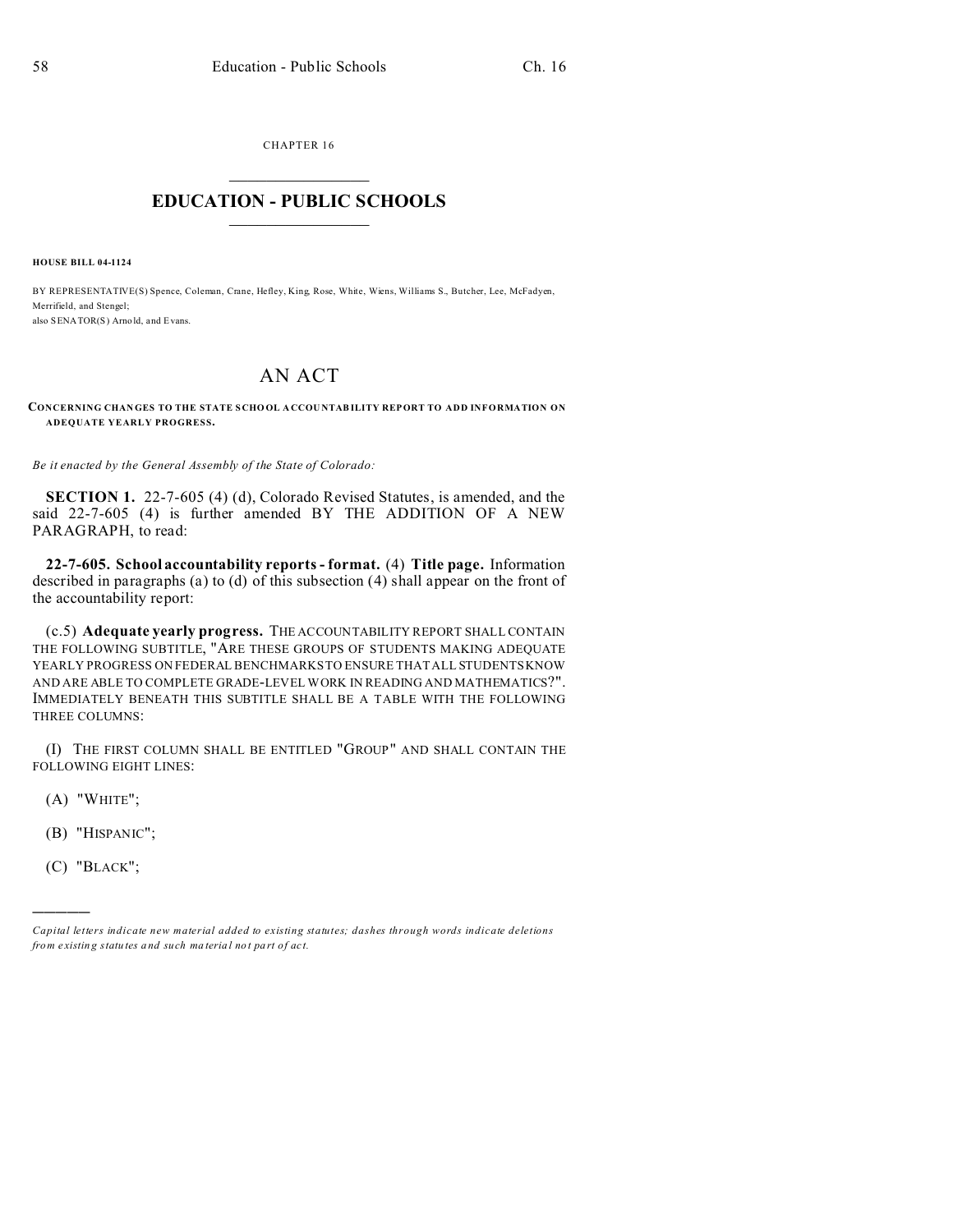CHAPTER 16  $\overline{\phantom{a}}$  , where  $\overline{\phantom{a}}$ 

## **EDUCATION - PUBLIC SCHOOLS**  $\_$   $\_$   $\_$   $\_$   $\_$   $\_$   $\_$   $\_$   $\_$

**HOUSE BILL 04-1124**

BY REPRESENTATIVE(S) Spence, Coleman, Crane, Hefley, King, Rose, White, Wiens, Williams S., Butcher, Lee, McFadyen, Merrifield, and Stengel; also SENATOR(S) Arno ld, and Evans.

## AN ACT

## **CONCERNING CHAN GES TO THE STATE S CHO OL A CCOU NTABILITY REPORT TO ADD INFORMATION ON ADEQUATE YEARLY PROGRESS.**

*Be it enacted by the General Assembly of the State of Colorado:*

**SECTION 1.** 22-7-605 (4) (d), Colorado Revised Statutes, is amended, and the said 22-7-605 (4) is further amended BY THE ADDITION OF A NEW PARAGRAPH, to read:

**22-7-605. School accountability reports - format.** (4) **Title page.** Information described in paragraphs (a) to (d) of this subsection (4) shall appear on the front of the accountability report:

(c.5) **Adequate yearly progress.** THE ACCOUNTABILITY REPORT SHALL CONTAIN THE FOLLOWING SUBTITLE, "ARE THESE GROUPS OF STUDENTS MAKING ADEQUATE YEARLY PROGRESS ON FEDERAL BENCHMARKS TO ENSURE THAT ALL STUDENTS KNOW AND ARE ABLE TO COMPLETE GRADE-LEVEL WORK IN READING AND MATHEMATICS?". IMMEDIATELY BENEATH THIS SUBTITLE SHALL BE A TABLE WITH THE FOLLOWING THREE COLUMNS:

(I) THE FIRST COLUMN SHALL BE ENTITLED "GROUP" AND SHALL CONTAIN THE FOLLOWING EIGHT LINES:

 $(A)$  "WHITE";

- (B) "HISPANIC";
- (C) "BLACK";

)))))

*Capital letters indicate new material added to existing statutes; dashes through words indicate deletions from e xistin g statu tes a nd such ma teria l no t pa rt of ac t.*